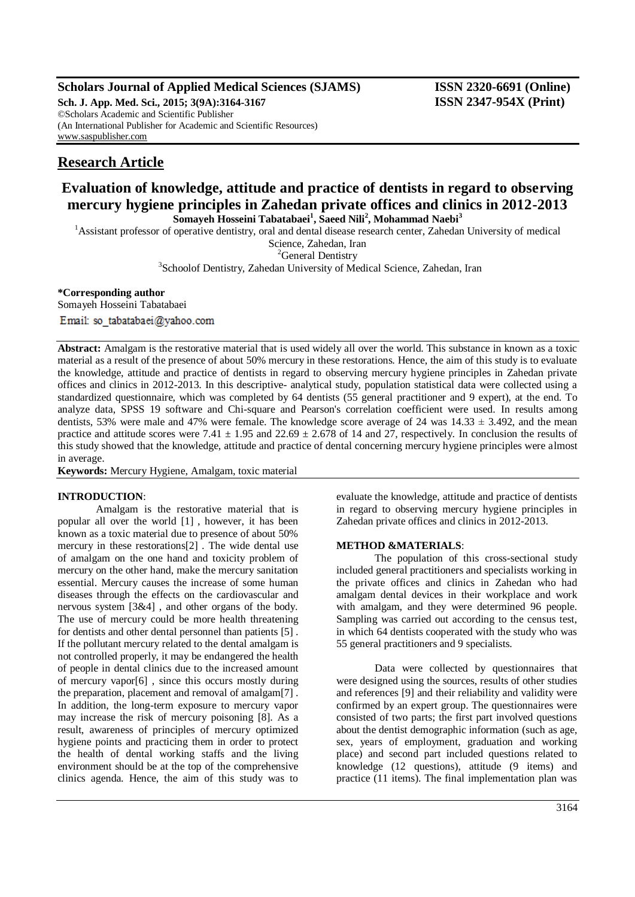### **Scholars Journal of Applied Medical Sciences (SJAMS) ISSN 2320-6691 (Online)**

**Sch. J. App. Med. Sci., 2015; 3(9A):3164-3167 ISSN 2347-954X (Print)** ©Scholars Academic and Scientific Publisher (An International Publisher for Academic and Scientific Resources) [www.saspublisher.com](http://www.saspublisher.com/)

# **Research Article**

## **Evaluation of knowledge, attitude and practice of dentists in regard to observing mercury hygiene principles in Zahedan private offices and clinics in 2012-2013 Somayeh Hosseini Tabatabaei<sup>1</sup> , Saeed Nili<sup>2</sup> , Mohammad Naebi<sup>3</sup>**

<sup>1</sup>Assistant professor of operative dentistry, oral and dental disease research center, Zahedan University of medical

Science, Zahedan, Iran

<sup>2</sup>General Dentistry

<sup>3</sup> Schoolof Dentistry, Zahedan University of Medical Science, Zahedan, Iran

#### **\*Corresponding author**

Somayeh Hosseini Tabatabaei

**Abstract:** Amalgam is the restorative material that is used widely all over the world. This substance in known as a toxic material as a result of the presence of about 50% mercury in these restorations. Hence, the aim of this study is to evaluate the knowledge, attitude and practice of dentists in regard to observing mercury hygiene principles in Zahedan private offices and clinics in 2012-2013. In this descriptive- analytical study, population statistical data were collected using a standardized questionnaire, which was completed by 64 dentists (55 general practitioner and 9 expert), at the end. To analyze data, SPSS 19 software and Chi-square and Pearson's correlation coefficient were used. In results among dentists, 53% were male and 47% were female. The knowledge score average of 24 was  $14.33 \pm 3.492$ , and the mean practice and attitude scores were 7.41  $\pm$  1.95 and 22.69  $\pm$  2.678 of 14 and 27, respectively. In conclusion the results of this study showed that the knowledge, attitude and practice of dental concerning mercury hygiene principles were almost in average.

**Keywords:** Mercury Hygiene, Amalgam, toxic material

#### **INTRODUCTION**:

Amalgam is the restorative material that is popular all over the world [1] , however, it has been known as a toxic material due to presence of about 50% mercury in these restorations[2] . The wide dental use of amalgam on the one hand and toxicity problem of mercury on the other hand, make the mercury sanitation essential. Mercury causes the increase of some human diseases through the effects on the cardiovascular and nervous system [3&4] , and other organs of the body. The use of mercury could be more health threatening for dentists and other dental personnel than patients [5] . If the pollutant mercury related to the dental amalgam is not controlled properly, it may be endangered the health of people in dental clinics due to the increased amount of mercury vapor[6] , since this occurs mostly during the preparation, placement and removal of amalgam[7] . In addition, the long-term exposure to mercury vapor may increase the risk of mercury poisoning [8]. As a result, awareness of principles of mercury optimized hygiene points and practicing them in order to protect the health of dental working staffs and the living environment should be at the top of the comprehensive clinics agenda. Hence, the aim of this study was to

evaluate the knowledge, attitude and practice of dentists in regard to observing mercury hygiene principles in Zahedan private offices and clinics in 2012-2013.

#### **METHOD &MATERIALS**:

The population of this cross-sectional study included general practitioners and specialists working in the private offices and clinics in Zahedan who had amalgam dental devices in their workplace and work with amalgam, and they were determined 96 people. Sampling was carried out according to the census test, in which 64 dentists cooperated with the study who was 55 general practitioners and 9 specialists.

Data were collected by questionnaires that were designed using the sources, results of other studies and references [9] and their reliability and validity were confirmed by an expert group. The questionnaires were consisted of two parts; the first part involved questions about the dentist demographic information (such as age, sex, years of employment, graduation and working place) and second part included questions related to knowledge (12 questions), attitude (9 items) and practice (11 items). The final implementation plan was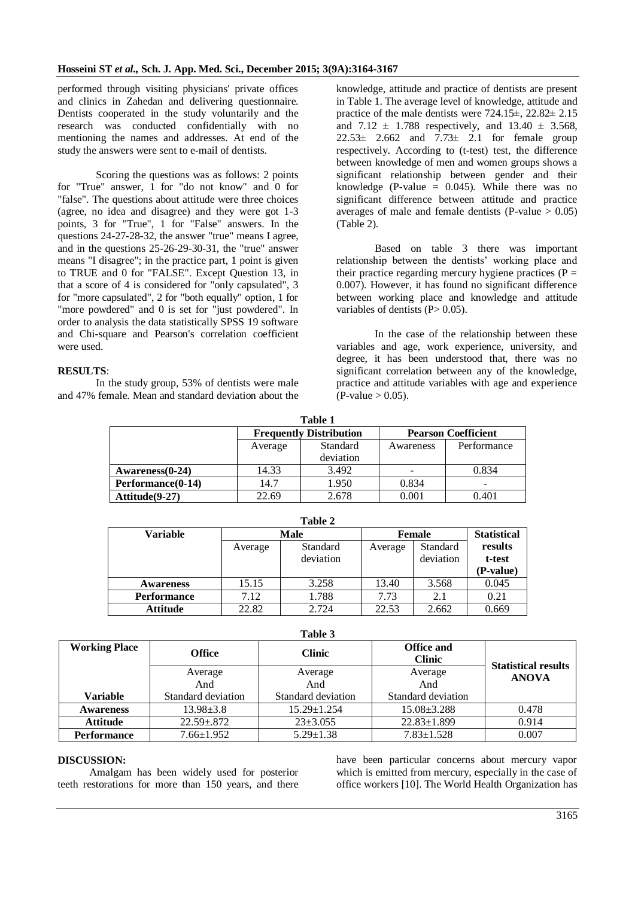performed through visiting physicians' private offices and clinics in Zahedan and delivering questionnaire. Dentists cooperated in the study voluntarily and the research was conducted confidentially with no mentioning the names and addresses. At end of the study the answers were sent to e-mail of dentists.

Scoring the questions was as follows: 2 points for "True" answer, 1 for "do not know" and 0 for "false". The questions about attitude were three choices (agree, no idea and disagree) and they were got 1-3 points, 3 for "True", 1 for "False" answers. In the questions 24-27-28-32, the answer "true" means I agree, and in the questions 25-26-29-30-31, the "true" answer means "I disagree"; in the practice part, 1 point is given to TRUE and 0 for "FALSE". Except Question 13, in that a score of 4 is considered for "only capsulated", 3 for "more capsulated", 2 for "both equally" option, 1 for "more powdered" and 0 is set for "just powdered". In order to analysis the data statistically SPSS 19 software and Chi-square and Pearson's correlation coefficient were used.

#### **RESULTS**:

In the study group, 53% of dentists were male and 47% female. Mean and standard deviation about the

knowledge, attitude and practice of dentists are present in Table 1. The average level of knowledge, attitude and practice of the male dentists were 724.15±, 22.82± 2.15 and  $7.12 \pm 1.788$  respectively, and  $13.40 \pm 3.568$ ,  $22.53\pm 2.662$  and  $7.73\pm 2.1$  for female group respectively. According to (t-test) test, the difference between knowledge of men and women groups shows a significant relationship between gender and their knowledge (P-value  $= 0.045$ ). While there was no significant difference between attitude and practice averages of male and female dentists (P-value  $> 0.05$ ) (Table 2).

Based on table 3 there was important relationship between the dentists' working place and their practice regarding mercury hygiene practices ( $P =$ 0.007). However, it has found no significant difference between working place and knowledge and attitude variables of dentists  $(P> 0.05)$ .

In the case of the relationship between these variables and age, work experience, university, and degree, it has been understood that, there was no significant correlation between any of the knowledge, practice and attitude variables with age and experience  $(P-value > 0.05)$ .

| Table 1           |         |                                |                            |             |  |  |  |
|-------------------|---------|--------------------------------|----------------------------|-------------|--|--|--|
|                   |         | <b>Frequently Distribution</b> | <b>Pearson Coefficient</b> |             |  |  |  |
|                   | Average | Standard                       | Awareness                  | Performance |  |  |  |
|                   |         | deviation                      |                            |             |  |  |  |
| Awareness(0-24)   | 14.33   | 3.492                          |                            | 0.834       |  |  |  |
| Performance(0-14) | 14.7    | 1.950                          | 0.834                      | -           |  |  |  |
| Attitude(9-27)    | 22.69   | 2.678                          | 0.001                      | 0.401       |  |  |  |

| Table 2            |             |                       |               |                       |                                |  |  |
|--------------------|-------------|-----------------------|---------------|-----------------------|--------------------------------|--|--|
| <b>Variable</b>    | <b>Male</b> |                       | <b>Female</b> |                       | <b>Statistical</b>             |  |  |
|                    | Average     | Standard<br>deviation | Average       | Standard<br>deviation | results<br>t-test<br>(P-value) |  |  |
| <b>Awareness</b>   | 15.15       | 3.258                 | 13.40         | 3.568                 | 0.045                          |  |  |
| <b>Performance</b> | 7.12        | 1.788                 | 7.73          | 2.1                   | 0.21                           |  |  |
| <b>Attitude</b>    | 22.82       | 2.724                 | 22.53         | 2.662                 | 0.669                          |  |  |

| ı<br>I<br>۰ |  |
|-------------|--|

| ravic J              |                    |                    |                                    |                            |  |  |
|----------------------|--------------------|--------------------|------------------------------------|----------------------------|--|--|
| <b>Working Place</b> | <b>Office</b>      | <b>Clinic</b>      | <b>Office and</b><br><b>Clinic</b> | <b>Statistical results</b> |  |  |
|                      | Average            | Average            | Average                            | <b>ANOVA</b>               |  |  |
|                      | And                | And                | And                                |                            |  |  |
| <b>Variable</b>      | Standard deviation | Standard deviation | Standard deviation                 |                            |  |  |
| <b>Awareness</b>     | $13.98 \pm 3.8$    | $15.29 \pm 1.254$  | $15.08 \pm 3.288$                  | 0.478                      |  |  |
| <b>Attitude</b>      | $22.59 + 872$      | $23 \pm 3.055$     | $22.83 \pm 1.899$                  | 0.914                      |  |  |
| <b>Performance</b>   | $7.66 \pm 1.952$   | $5.29 \pm 1.38$    | $7.83 \pm 1.528$                   | 0.007                      |  |  |

#### **DISCUSSION:**

Amalgam has been widely used for posterior teeth restorations for more than 150 years, and there have been particular concerns about mercury vapor which is emitted from mercury, especially in the case of office workers [10]. The World Health Organization has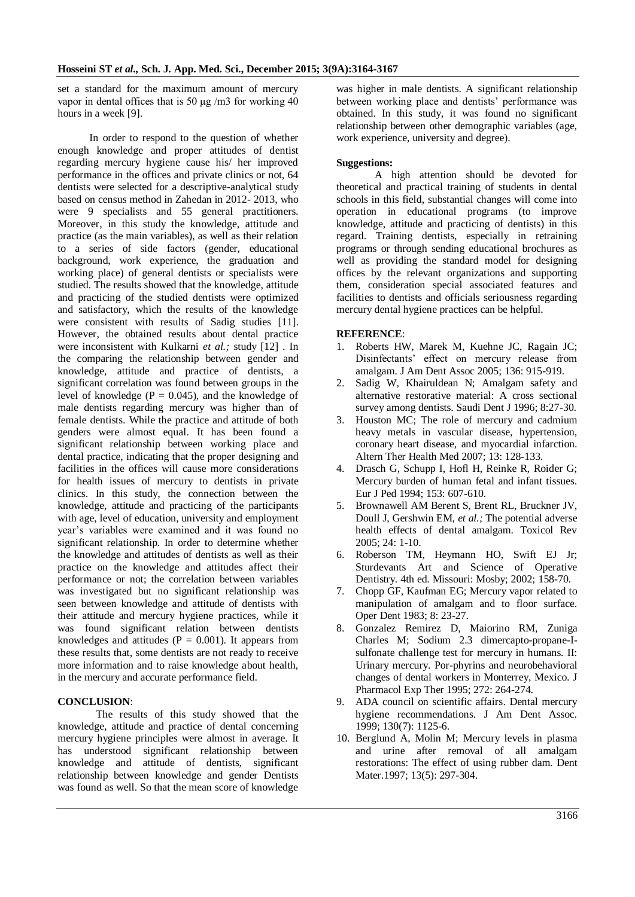set a standard for the maximum amount of mercury vapor in dental offices that is 50 μg /m3 for working 40 hours in a week [9].

In order to respond to the question of whether enough knowledge and proper attitudes of dentist regarding mercury hygiene cause his/ her improved performance in the offices and private clinics or not, 64 dentists were selected for a descriptive-analytical study based on census method in Zahedan in 2012- 2013, who were 9 specialists and 55 general practitioners. Moreover, in this study the knowledge, attitude and practice (as the main variables), as well as their relation to a series of side factors (gender, educational background, work experience, the graduation and working place) of general dentists or specialists were studied. The results showed that the knowledge, attitude and practicing of the studied dentists were optimized and satisfactory, which the results of the knowledge were consistent with results of Sadig studies [11]. However, the obtained results about dental practice were inconsistent with Kulkarni *et al.;* study [12] . In the comparing the relationship between gender and knowledge, attitude and practice of dentists, a significant correlation was found between groups in the level of knowledge ( $P = 0.045$ ), and the knowledge of male dentists regarding mercury was higher than of female dentists. While the practice and attitude of both genders were almost equal. It has been found a significant relationship between working place and dental practice, indicating that the proper designing and facilities in the offices will cause more considerations for health issues of mercury to dentists in private clinics. In this study, the connection between the knowledge, attitude and practicing of the participants with age, level of education, university and employment year's variables were examined and it was found no significant relationship. In order to determine whether the knowledge and attitudes of dentists as well as their practice on the knowledge and attitudes affect their performance or not; the correlation between variables was investigated but no significant relationship was seen between knowledge and attitude of dentists with their attitude and mercury hygiene practices, while it was found significant relation between dentists knowledges and attitudes ( $P = 0.001$ ). It appears from these results that, some dentists are not ready to receive more information and to raise knowledge about health, in the mercury and accurate performance field.

#### **CONCLUSION**:

The results of this study showed that the knowledge, attitude and practice of dental concerning mercury hygiene principles were almost in average. It has understood significant relationship between knowledge and attitude of dentists, significant relationship between knowledge and gender Dentists was found as well. So that the mean score of knowledge

was higher in male dentists. A significant relationship between working place and dentists' performance was obtained. In this study, it was found no significant relationship between other demographic variables (age, work experience, university and degree).

#### **Suggestions:**

A high attention should be devoted for theoretical and practical training of students in dental schools in this field, substantial changes will come into operation in educational programs (to improve knowledge, attitude and practicing of dentists) in this regard. Training dentists, especially in retraining programs or through sending educational brochures as well as providing the standard model for designing offices by the relevant organizations and supporting them, consideration special associated features and facilities to dentists and officials seriousness regarding mercury dental hygiene practices can be helpful.

#### **REFERENCE**:

- 1. Roberts HW, Marek M, Kuehne JC, Ragain JC; Disinfectants' effect on mercury release from amalgam. J Am Dent Assoc 2005; 136: 915-919.
- 2. Sadig W, Khairuldean N; Amalgam safety and alternative restorative material: A cross sectional survey among dentists. Saudi Dent J 1996; 8:27-30.
- 3. Houston MC; The role of mercury and cadmium heavy metals in vascular disease, hypertension, coronary heart disease, and myocardial infarction. Altern Ther Health Med 2007; 13: 128-133.
- 4. Drasch G, Schupp I, Hofl H, Reinke R, Roider G; Mercury burden of human fetal and infant tissues. Eur J Ped 1994; 153: 607-610.
- 5. Brownawell AM Berent S, Brent RL, Bruckner JV, Doull J, Gershwin EM, *et al.;* The potential adverse health effects of dental amalgam. Toxicol Rev 2005; 24: 1-10.
- 6. Roberson TM, Heymann HO, Swift EJ Jr; Sturdevants Art and Science of Operative Dentistry. 4th ed. Missouri: Mosby; 2002; 158-70.
- 7. Chopp GF, Kaufman EG; Mercury vapor related to manipulation of amalgam and to floor surface. Oper Dent 1983; 8: 23-27.
- 8. Gonzalez Remirez D, Maiorino RM, Zuniga Charles M; Sodium 2.3 dimercapto-propane-Isulfonate challenge test for mercury in humans. II: Urinary mercury. Por-phyrins and neurobehavioral changes of dental workers in Monterrey, Mexico. J Pharmacol Exp Ther 1995; 272: 264-274.
- 9. ADA council on scientific affairs. Dental mercury hygiene recommendations. J Am Dent Assoc. 1999; 130(7): 1125-6.
- 10. Berglund A, Molin M; Mercury levels in plasma and urine after removal of all amalgam restorations: The effect of using rubber dam. Dent Mater.1997; 13(5): 297-304.